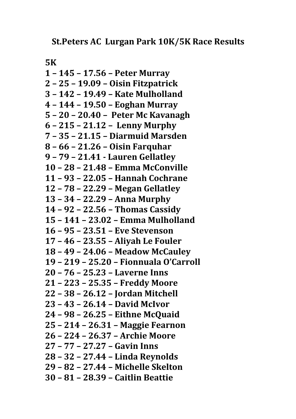**5K**

**1 – 145 – 17.56 – Peter Murray 2 – 25 – 19.09 – Oisin Fitzpatrick 3 – 142 – 19.49 – Kate Mulholland 4 – 144 – 19.50 – Eoghan Murray 5 – 20 – 20.40 – Peter Mc Kavanagh 6 – 215 – 21.12 – Lenny Murphy 7 – 35 – 21.15 – Diarmuid Marsden 8 – 66 – 21.26 – Oisin Farquhar 9 – 79 – 21.41 ‐ Lauren Gellatley 10 – 28 – 21.48 – Emma McConville 11 – 93 – 22.05 – Hannah Cochrane 12 – 78 – 22.29 – Megan Gellatley 13 – 34 – 22.29 – Anna Murphy 14 – 92 – 22.56 – Thomas Cassidy 15 – 141 – 23.02 – Emma Mulholland 16 – 95 – 23.51 – Eve Stevenson 17 – 46 – 23.55 – Aliyah Le Fouler 18 – 49 – 24.06 – Meadow McCauley 19 – 219 – 25.20 – Fionnuala O'Carroll 20 – 76 – 25.23 – Laverne Inns 21 – 223 – 25.35 – Freddy Moore 22 – 38 – 26.12 – Jordan Mitchell 23 – 43 – 26.14 – David McIvor 24 – 98 – 26.25 – Eithne McQuaid 25 – 214 – 26.31 – Maggie Fearnon 26 – 224 – 26.37 – Archie Moore 27 – 77 – 27.27 – Gavin Inns 28 – 32 – 27.44 – Linda Reynolds 29 – 82 – 27.44 – Michelle Skelton 30 – 81 – 28.39 – Caitlin Beattie**